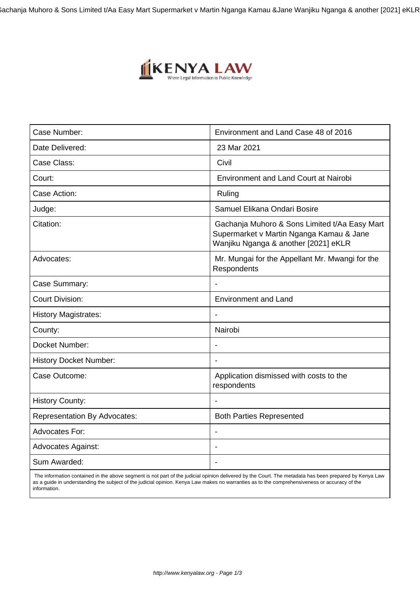Gachanja Muhoro & Sons Limited t/Aa Easy Mart Supermarket v Martin Nganga Kamau & Jane Wanjiku Nganga & another [2021] eKLR



| Case Number:                        | Environment and Land Case 48 of 2016                                                                                              |
|-------------------------------------|-----------------------------------------------------------------------------------------------------------------------------------|
| Date Delivered:                     | 23 Mar 2021                                                                                                                       |
| Case Class:                         | Civil                                                                                                                             |
| Court:                              | <b>Environment and Land Court at Nairobi</b>                                                                                      |
| Case Action:                        | Ruling                                                                                                                            |
| Judge:                              | Samuel Elikana Ondari Bosire                                                                                                      |
| Citation:                           | Gachanja Muhoro & Sons Limited t/Aa Easy Mart<br>Supermarket v Martin Nganga Kamau & Jane<br>Wanjiku Nganga & another [2021] eKLR |
| Advocates:                          | Mr. Mungai for the Appellant Mr. Mwangi for the<br>Respondents                                                                    |
| Case Summary:                       | $\blacksquare$                                                                                                                    |
| <b>Court Division:</b>              | <b>Environment and Land</b>                                                                                                       |
| <b>History Magistrates:</b>         |                                                                                                                                   |
| County:                             | Nairobi                                                                                                                           |
| Docket Number:                      |                                                                                                                                   |
| <b>History Docket Number:</b>       |                                                                                                                                   |
| Case Outcome:                       | Application dismissed with costs to the<br>respondents                                                                            |
| <b>History County:</b>              |                                                                                                                                   |
| <b>Representation By Advocates:</b> | <b>Both Parties Represented</b>                                                                                                   |
| <b>Advocates For:</b>               |                                                                                                                                   |
| <b>Advocates Against:</b>           |                                                                                                                                   |
| Sum Awarded:                        |                                                                                                                                   |

 The information contained in the above segment is not part of the judicial opinion delivered by the Court. The metadata has been prepared by Kenya Law as a guide in understanding the subject of the judicial opinion. Kenya Law makes no warranties as to the comprehensiveness or accuracy of the information.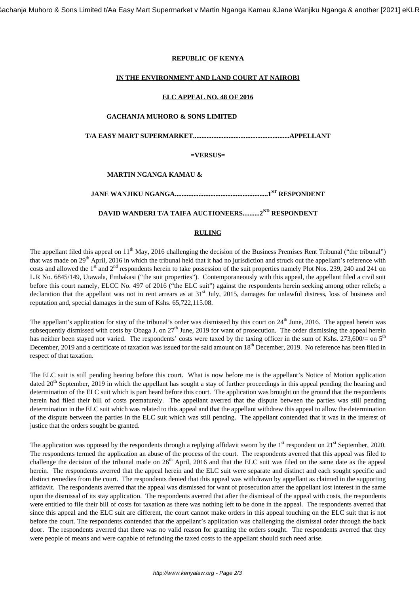# **REPUBLIC OF KENYA**

### **IN THE ENVIRONMENT AND LAND COURT AT NAIROBI**

## **ELC APPEAL NO. 48 OF 2016**

### **GACHANJA MUHORO & SONS LIMITED**

**T/A EASY MART SUPERMARKET.........................................................APPELLANT**

### **=VERSUS=**

## **MARTIN NGANGA KAMAU &**

**JANE WANJIKU NGANGA.......................................................1ST RESPONDENT**

# **DAVID WANDERI T/A TAIFA AUCTIONEERS..........2ND RESPONDENT**

### **RULING**

The appellant filed this appeal on  $11<sup>th</sup>$  May, 2016 challenging the decision of the Business Premises Rent Tribunal ("the tribunal") that was made on 29th April, 2016 in which the tribunal held that it had no jurisdiction and struck out the appellant's reference with costs and allowed the  $1<sup>st</sup>$  and  $2<sup>nd</sup>$  respondents herein to take possession of the suit properties namely Plot Nos. 239, 240 and 241 on L.R No. 6845/149, Utawala, Embakasi ("the suit properties"). Contemporaneously with this appeal, the appellant filed a civil suit before this court namely, ELCC No. 497 of 2016 ("the ELC suit") against the respondents herein seeking among other reliefs; a declaration that the appellant was not in rent arrears as at  $31<sup>st</sup>$  July, 2015, damages for unlawful distress, loss of business and reputation and, special damages in the sum of Kshs. 65,722,115.08.

The appellant's application for stay of the tribunal's order was dismissed by this court on  $24<sup>th</sup>$  June, 2016. The appeal herein was subsequently dismissed with costs by Obaga J. on  $27<sup>th</sup>$  June, 2019 for want of prosecution. The order dismissing the appeal herein has neither been stayed nor varied. The respondents' costs were taxed by the taxing officer in the sum of Kshs. 273,600/= on  $5<sup>th</sup>$ December, 2019 and a certificate of taxation was issued for the said amount on 18<sup>th</sup> December, 2019. No reference has been filed in respect of that taxation.

The ELC suit is still pending hearing before this court. What is now before me is the appellant's Notice of Motion application dated 20<sup>th</sup> September, 2019 in which the appellant has sought a stay of further proceedings in this appeal pending the hearing and determination of the ELC suit which is part heard before this court. The application was brought on the ground that the respondents herein had filed their bill of costs prematurely. The appellant averred that the dispute between the parties was still pending determination in the ELC suit which was related to this appeal and that the appellant withdrew this appeal to allow the determination of the dispute between the parties in the ELC suit which was still pending. The appellant contended that it was in the interest of justice that the orders sought be granted.

The application was opposed by the respondents through a replying affidavit sworn by the  $1<sup>st</sup>$  respondent on  $21<sup>st</sup>$  September, 2020. The respondents termed the application an abuse of the process of the court. The respondents averred that this appeal was filed to challenge the decision of the tribunal made on  $26<sup>th</sup>$  April, 2016 and that the ELC suit was filed on the same date as the appeal herein. The respondents averred that the appeal herein and the ELC suit were separate and distinct and each sought specific and distinct remedies from the court. The respondents denied that this appeal was withdrawn by appellant as claimed in the supporting affidavit. The respondents averred that the appeal was dismissed for want of prosecution after the appellant lost interest in the same upon the dismissal of its stay application. The respondents averred that after the dismissal of the appeal with costs, the respondents were entitled to file their bill of costs for taxation as there was nothing left to be done in the appeal. The respondents averred that since this appeal and the ELC suit are different, the court cannot make orders in this appeal touching on the ELC suit that is not before the court. The respondents contended that the appellant's application was challenging the dismissal order through the back door. The respondents averred that there was no valid reason for granting the orders sought. The respondents averred that they were people of means and were capable of refunding the taxed costs to the appellant should such need arise.